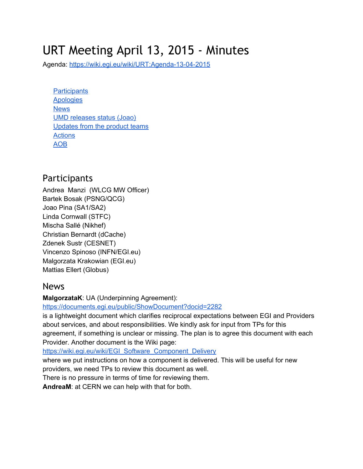# URT Meeting April 13, 2015 - Minutes

Agenda: https://wiki.egi.eu/wiki/URT:Agenda-13-04-2015

**[Participants](#page-0-0) Apologies [News](#page-0-1)** UMD releases status (Joao) Updates from the product teams **[Actions](#page-1-0)** [AOB](#page-1-1)

## <span id="page-0-0"></span>**Participants**

Andrea Manzi (WLCG MW Officer) Bartek Bosak (PSNG/QCG) Joao Pina (SA1/SA2) Linda Cornwall (STFC) Mischa Sallé (Nikhef) Christian Bernardt (dCache) Zdenek Sustr (CESNET) Vincenzo Spinoso (INFN/EGI.eu) Malgorzata Krakowian (EGI.eu) Mattias Ellert (Globus)

#### <span id="page-0-1"></span>News

**MalgorzataK**: UA (Underpinning Agreement):

<https://documents.egi.eu/public/ShowDocument?docid=2282>

is a lightweight document which clarifies reciprocal expectations between EGI and Providers about services, and about responsibilities. We kindly ask for input from TPs for this agreement, if something is unclear or missing. The plan is to agree this document with each Provider. Another document is the Wiki page:

[https://wiki.egi.eu/wiki/EGI\\_Software\\_Component\\_Delivery](https://wiki.egi.eu/wiki/EGI_Software_Component_Delivery)

where we put instructions on how a component is delivered. This will be useful for new providers, we need TPs to review this document as well.

There is no pressure in terms of time for reviewing them.

**AndreaM**: at CERN we can help with that for both.